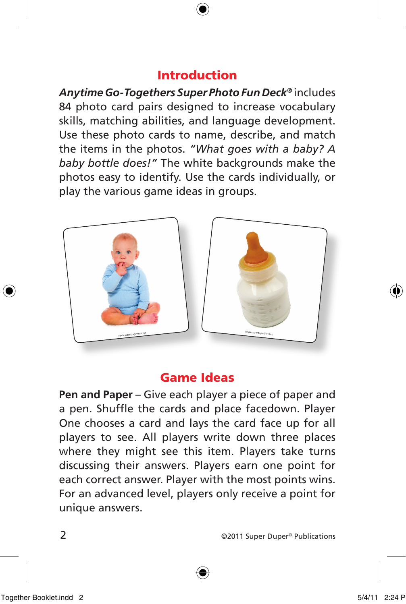## Introduction

*Anytime Go-Togethers Super Photo Fun Deck®* includes 84 photo card pairs designed to increase vocabulary skills, matching abilities, and language development. Use these photo cards to name, describe, and match the items in the photos. *"What goes with a baby? A baby bottle does!"* The white backgrounds make the photos easy to identify. Use the cards individually, or play the various game ideas in groups.



## Game Ideas

**Pen and Paper** – Give each player a piece of paper and a pen. Shuffle the cards and place facedown. Player One chooses a card and lays the card face up for all players to see. All players write down three places where they might see this item. Players take turns discussing their answers. Players earn one point for each correct answer. Player with the most points wins. For an advanced level, players only receive a point for unique answers.